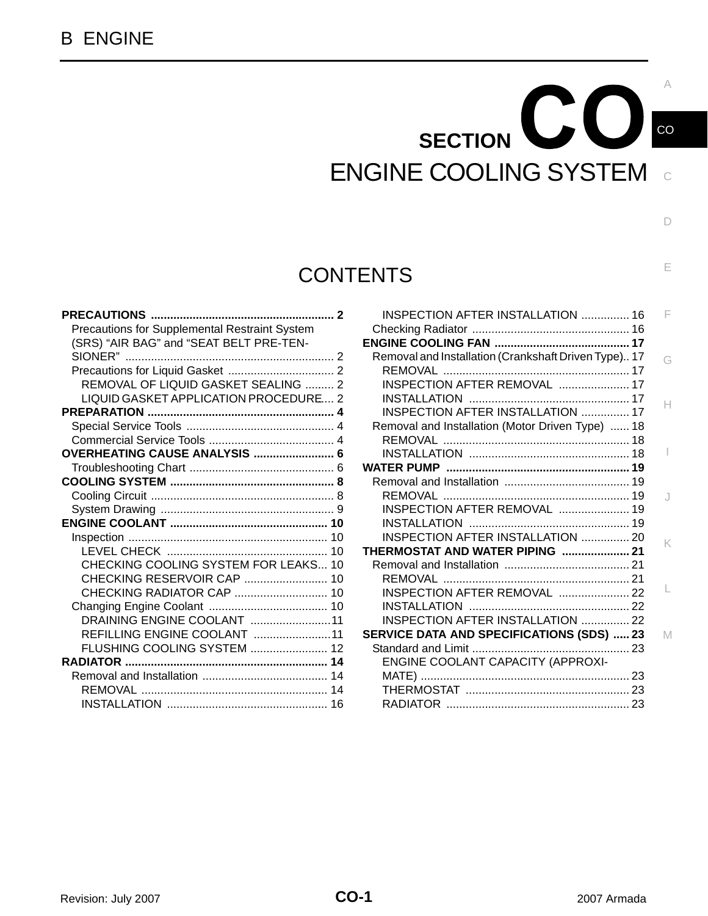# $\mathbf{C}\mathbf{C}$ **SECTION**  ENGINE COOLING SYSTEM

C

CO

A

D

E

## **CONTENTS**

| <b>PRECAUTIONS </b><br>. 2                    |  |
|-----------------------------------------------|--|
| Precautions for Supplemental Restraint System |  |
| (SRS) "AIR BAG" and "SEAT BELT PRE-TEN-       |  |
|                                               |  |
|                                               |  |
| REMOVAL OF LIQUID GASKET SEALING  2           |  |
| LIQUID GASKET APPLICATION PROCEDURE 2         |  |
|                                               |  |
|                                               |  |
|                                               |  |
| OVERHEATING CAUSE ANALYSIS  6                 |  |
|                                               |  |
|                                               |  |
|                                               |  |
|                                               |  |
|                                               |  |
|                                               |  |
|                                               |  |
| CHECKING COOLING SYSTEM FOR LEAKS 10          |  |
|                                               |  |
| CHECKING RADIATOR CAP  10                     |  |
|                                               |  |
| DRAINING ENGINE COOLANT 11                    |  |
| REFILLING ENGINE COOLANT 11                   |  |
| FLUSHING COOLING SYSTEM  12                   |  |
|                                               |  |
|                                               |  |
|                                               |  |
|                                               |  |

| <b>INSPECTION AFTER INSTALLATION  16</b>             | F |
|------------------------------------------------------|---|
|                                                      |   |
|                                                      |   |
| Removal and Installation (Crankshaft Driven Type) 17 | G |
|                                                      |   |
| INSPECTION AFTER REMOVAL  17                         |   |
|                                                      |   |
| INSPECTION AFTER INSTALLATION  17                    | н |
| Removal and Installation (Motor Driven Type)  18     |   |
|                                                      |   |
|                                                      |   |
|                                                      |   |
|                                                      |   |
|                                                      |   |
| INSPECTION AFTER REMOVAL  19                         |   |
|                                                      |   |
| <b>INSPECTION AFTER INSTALLATION  20</b>             | K |
| THERMOSTAT AND WATER PIPING  21                      |   |
|                                                      |   |
|                                                      |   |
| INSPECTION AFTER REMOVAL  22                         |   |
|                                                      |   |
| INSPECTION AFTER INSTALLATION  22                    |   |
| <b>SERVICE DATA AND SPECIFICATIONS (SDS) 23</b>      | M |
|                                                      |   |
| ENGINE COOLANT CAPACITY (APPROXI-                    |   |
|                                                      |   |
|                                                      |   |
| RADIATOR                                             |   |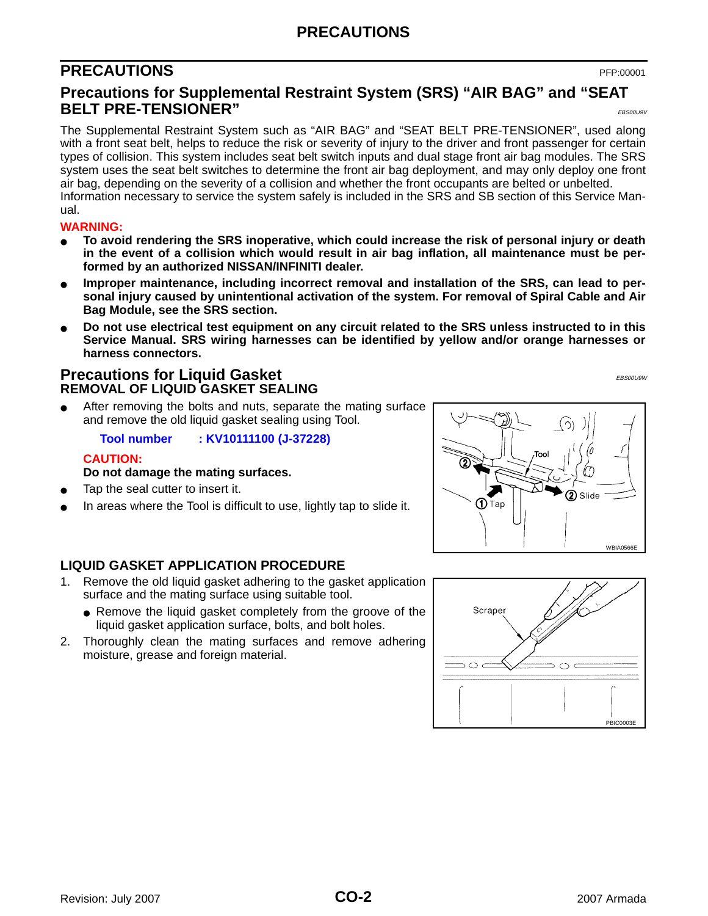## **PRECAUTIONS**

## <span id="page-1-0"></span>**PRECAUTIONS** PFP:00001

### <span id="page-1-1"></span>**Precautions for Supplemental Restraint System (SRS) "AIR BAG" and "SEAT BELT PRE-TENSIONER"** EBS00U9V

The Supplemental Restraint System such as "AIR BAG" and "SEAT BELT PRE-TENSIONER", used along with a front seat belt, helps to reduce the risk or severity of injury to the driver and front passenger for certain types of collision. This system includes seat belt switch inputs and dual stage front air bag modules. The SRS system uses the seat belt switches to determine the front air bag deployment, and may only deploy one front air bag, depending on the severity of a collision and whether the front occupants are belted or unbelted. Information necessary to service the system safely is included in the SRS and SB section of this Service Manual.

#### **WARNING:**

- **To avoid rendering the SRS inoperative, which could increase the risk of personal injury or death in the event of a collision which would result in air bag inflation, all maintenance must be performed by an authorized NISSAN/INFINITI dealer.**
- Improper maintenance, including incorrect removal and installation of the SRS, can lead to per**sonal injury caused by unintentional activation of the system. For removal of Spiral Cable and Air Bag Module, see the SRS section.**
- Do not use electrical test equipment on any circuit related to the SRS unless instructed to in this **Service Manual. SRS wiring harnesses can be identified by yellow and/or orange harnesses or harness connectors.**

#### <span id="page-1-3"></span><span id="page-1-2"></span>**Precautions for Liquid Gasket** EBS00U9W **REMOVAL OF LIQUID GASKET SEALING**

After removing the bolts and nuts, separate the mating surface and remove the old liquid gasket sealing using Tool.

**Tool number : KV10111100 (J-37228)**

#### **CAUTION:**

#### **Do not damage the mating surfaces.**

- Tap the seal cutter to insert it.
- In areas where the Tool is difficult to use, lightly tap to slide it.

<span id="page-1-4"></span>

- 1. Remove the old liquid gasket adhering to the gasket application surface and the mating surface using suitable tool.
	- Remove the liquid gasket completely from the groove of the liquid gasket application surface, bolts, and bolt holes.
- 2. Thoroughly clean the mating surfaces and remove adhering moisture, grease and foreign material.



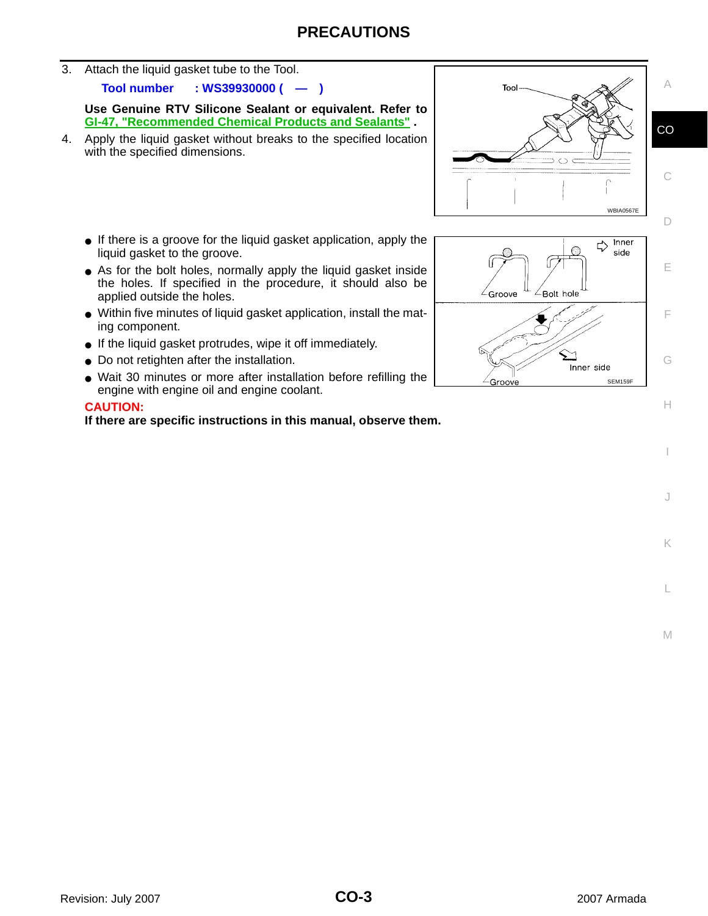3. Attach the liquid gasket tube to the Tool.

**Tool number : WS39930000 ( — )**

**Use Genuine RTV Silicone Sealant or equivalent. Refer to GI-47, "Recommended Chemical Products and Sealants" .** 

4. Apply the liquid gasket without breaks to the specified location with the specified dimensions.



- As for the bolt holes, normally apply the liquid gasket inside the holes. If specified in the procedure, it should also be applied outside the holes.
- Within five minutes of liquid gasket application, install the mating component.
- If the liquid gasket protrudes, wipe it off immediately.
- Do not retighten after the installation.
- Wait 30 minutes or more after installation before refilling the engine with engine oil and engine coolant.

#### **CAUTION:**

**If there are specific instructions in this manual, observe them.**



I

J

K

L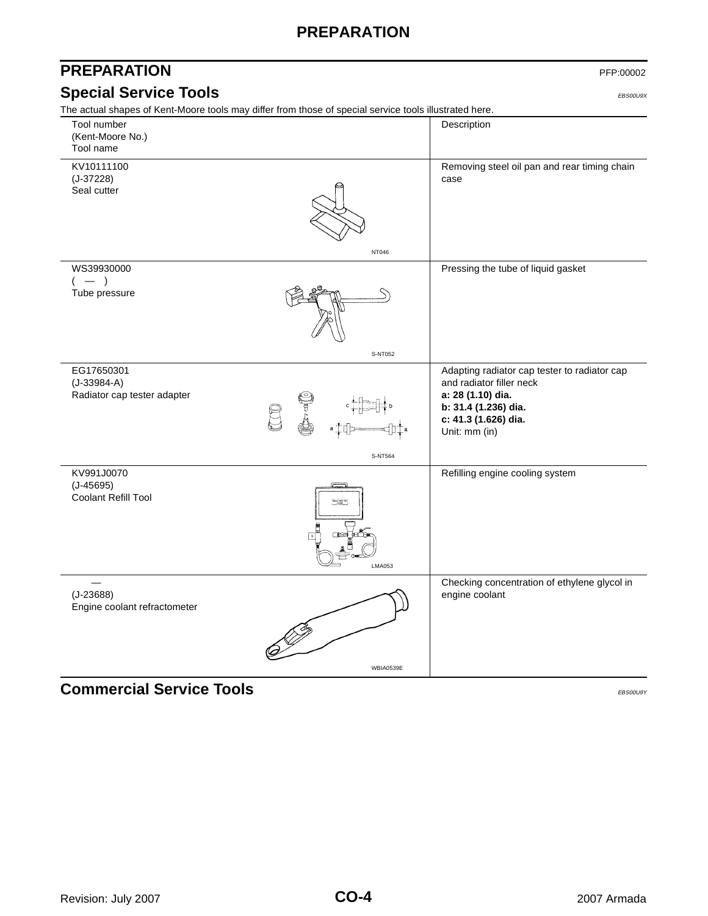## **PREPARATION**

<span id="page-3-1"></span><span id="page-3-0"></span>

| <b>PREPARATION</b>                                                                                     |                                     | PFP:00002                                                                                                                                                      |
|--------------------------------------------------------------------------------------------------------|-------------------------------------|----------------------------------------------------------------------------------------------------------------------------------------------------------------|
| <b>Special Service Tools</b>                                                                           |                                     | EBS00U9X                                                                                                                                                       |
| The actual shapes of Kent-Moore tools may differ from those of special service tools illustrated here. |                                     |                                                                                                                                                                |
| Tool number<br>(Kent-Moore No.)<br>Tool name                                                           |                                     | Description                                                                                                                                                    |
| KV10111100<br>$(J-37228)$<br>Seal cutter                                                               | NT046                               | Removing steel oil pan and rear timing chain<br>case                                                                                                           |
| WS39930000                                                                                             |                                     | Pressing the tube of liquid gasket                                                                                                                             |
| $-$ )<br>Tube pressure                                                                                 |                                     |                                                                                                                                                                |
|                                                                                                        | S-NT052                             |                                                                                                                                                                |
| EG17650301<br>$(J-33984-A)$<br>Radiator cap tester adapter                                             | T<br>La                             | Adapting radiator cap tester to radiator cap<br>and radiator filler neck<br>a: 28 (1.10) dia.<br>b: 31.4 (1.236) dia.<br>c: 41.3 (1.626) dia.<br>Unit: mm (in) |
|                                                                                                        | S-NT564                             |                                                                                                                                                                |
| KV991J0070<br>$(J-45695)$<br>Coolant Refill Tool                                                       | $-1.7$<br>TIFLE GE<br><b>LMA053</b> | Refilling engine cooling system                                                                                                                                |
| $\overbrace{\phantom{12322111}}$<br>$(J-23688)$<br>Engine coolant refractometer                        |                                     | Checking concentration of ethylene glycol in<br>engine coolant                                                                                                 |
|                                                                                                        | WBIA0539E                           |                                                                                                                                                                |

<span id="page-3-2"></span>**Commercial Service Tools** EBS00U9Y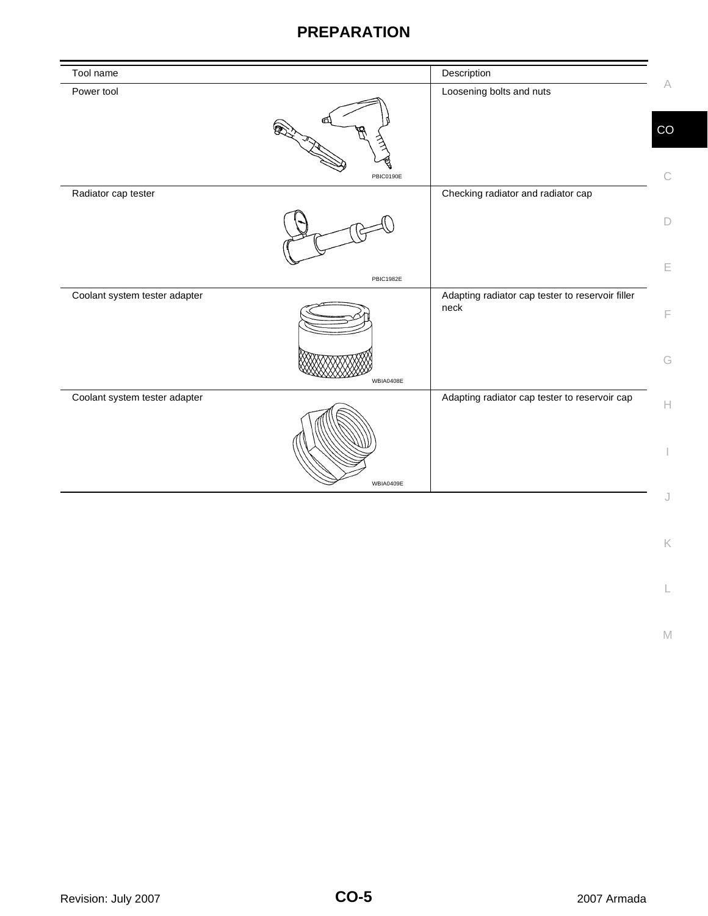## **PREPARATION**

| Tool name                     |                  | Description                                              |             |
|-------------------------------|------------------|----------------------------------------------------------|-------------|
| Power tool                    |                  | Loosening bolts and nuts                                 | $\forall$   |
|                               |                  |                                                          | CO          |
| Radiator cap tester           | PBIC0190E        | Checking radiator and radiator cap                       | C           |
|                               |                  |                                                          |             |
|                               |                  |                                                          | $\Box$      |
|                               | <b>PBIC1982E</b> |                                                          | E           |
| Coolant system tester adapter |                  | Adapting radiator cap tester to reservoir filler<br>neck | F           |
|                               | WBIA0408E        |                                                          | G           |
| Coolant system tester adapter |                  | Adapting radiator cap tester to reservoir cap            | $\mathbb H$ |
|                               | WBIA0409E        |                                                          |             |
|                               |                  |                                                          |             |

L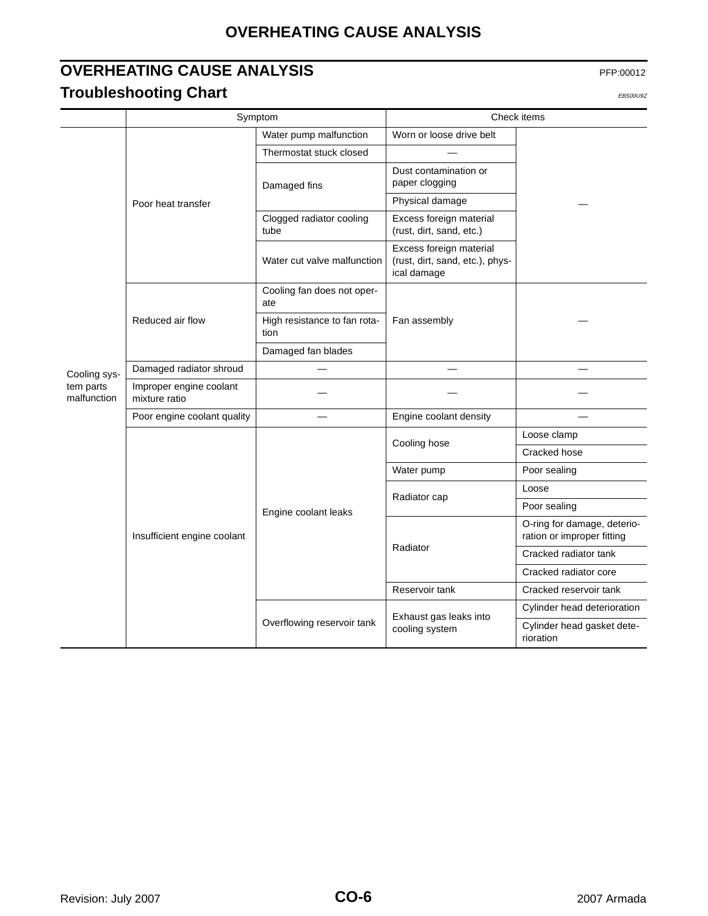## **OVERHEATING CAUSE ANALYSIS**

## <span id="page-5-1"></span><span id="page-5-0"></span>**OVERHEATING CAUSE ANALYSIS** PFP:00012 **Troubleshooting Chart** EBS00U9Z **EBS00U9Z**

|                          |                                          | Symptom                              |                                                                           | Check items                                               |
|--------------------------|------------------------------------------|--------------------------------------|---------------------------------------------------------------------------|-----------------------------------------------------------|
|                          |                                          | Water pump malfunction               | Worn or loose drive belt                                                  |                                                           |
|                          |                                          | Thermostat stuck closed              |                                                                           |                                                           |
|                          |                                          | Damaged fins                         | Dust contamination or<br>paper clogging                                   |                                                           |
|                          | Poor heat transfer                       |                                      | Physical damage                                                           |                                                           |
|                          |                                          | Clogged radiator cooling<br>tube     | Excess foreign material<br>(rust, dirt, sand, etc.)                       |                                                           |
|                          |                                          | Water cut valve malfunction          | Excess foreign material<br>(rust, dirt, sand, etc.), phys-<br>ical damage |                                                           |
|                          |                                          | Cooling fan does not oper-<br>ate    |                                                                           |                                                           |
|                          | Reduced air flow                         | High resistance to fan rota-<br>tion | Fan assembly                                                              |                                                           |
|                          |                                          | Damaged fan blades                   |                                                                           |                                                           |
| Cooling sys-             | Damaged radiator shroud                  |                                      |                                                                           |                                                           |
| tem parts<br>malfunction | Improper engine coolant<br>mixture ratio |                                      |                                                                           |                                                           |
|                          | Poor engine coolant quality              |                                      | Engine coolant density                                                    |                                                           |
|                          | Insufficient engine coolant              |                                      | Cooling hose                                                              | Loose clamp                                               |
|                          |                                          | Engine coolant leaks                 |                                                                           | Cracked hose                                              |
|                          |                                          |                                      | Water pump                                                                | Poor sealing                                              |
|                          |                                          |                                      | Radiator cap                                                              | Loose                                                     |
|                          |                                          |                                      |                                                                           | Poor sealing                                              |
|                          |                                          |                                      | Radiator                                                                  | O-ring for damage, deterio-<br>ration or improper fitting |
|                          |                                          |                                      |                                                                           | Cracked radiator tank                                     |
|                          |                                          |                                      |                                                                           | Cracked radiator core                                     |
|                          |                                          |                                      | Reservoir tank                                                            | Cracked reservoir tank                                    |
|                          |                                          | Overflowing reservoir tank           | Exhaust gas leaks into                                                    | Cylinder head deterioration                               |
|                          |                                          |                                      | cooling system                                                            | Cylinder head gasket dete-<br>rioration                   |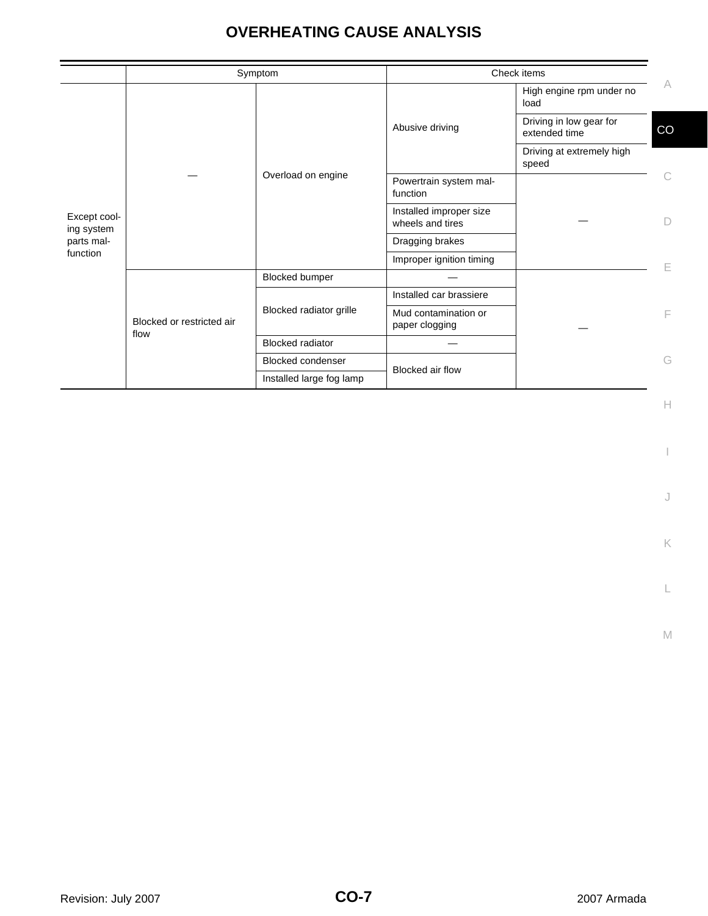## **OVERHEATING CAUSE ANALYSIS**

|                            |                                   | Symptom                  |                                             | Check items                              |    |
|----------------------------|-----------------------------------|--------------------------|---------------------------------------------|------------------------------------------|----|
|                            |                                   |                          |                                             | High engine rpm under no<br>load         | A  |
|                            |                                   |                          | Abusive driving                             | Driving in low gear for<br>extended time | CO |
|                            |                                   |                          |                                             | Driving at extremely high<br>speed       |    |
|                            |                                   | Overload on engine       | Powertrain system mal-<br>function          |                                          |    |
| Except cool-<br>ing system |                                   |                          | Installed improper size<br>wheels and tires |                                          | D  |
| parts mal-                 |                                   |                          | Dragging brakes                             |                                          |    |
| function                   |                                   |                          | Improper ignition timing                    |                                          |    |
|                            |                                   | <b>Blocked bumper</b>    |                                             |                                          |    |
|                            |                                   |                          | Installed car brassiere                     |                                          |    |
|                            | Blocked or restricted air<br>flow | Blocked radiator grille  | Mud contamination or<br>paper clogging      |                                          | F  |
|                            |                                   | <b>Blocked radiator</b>  |                                             |                                          |    |
|                            |                                   | <b>Blocked condenser</b> | Blocked air flow                            |                                          | G  |
|                            |                                   | Installed large fog lamp |                                             |                                          |    |

 $\mathrel{\vdash}\mathrel{\vdash}$ 

I

J

K

L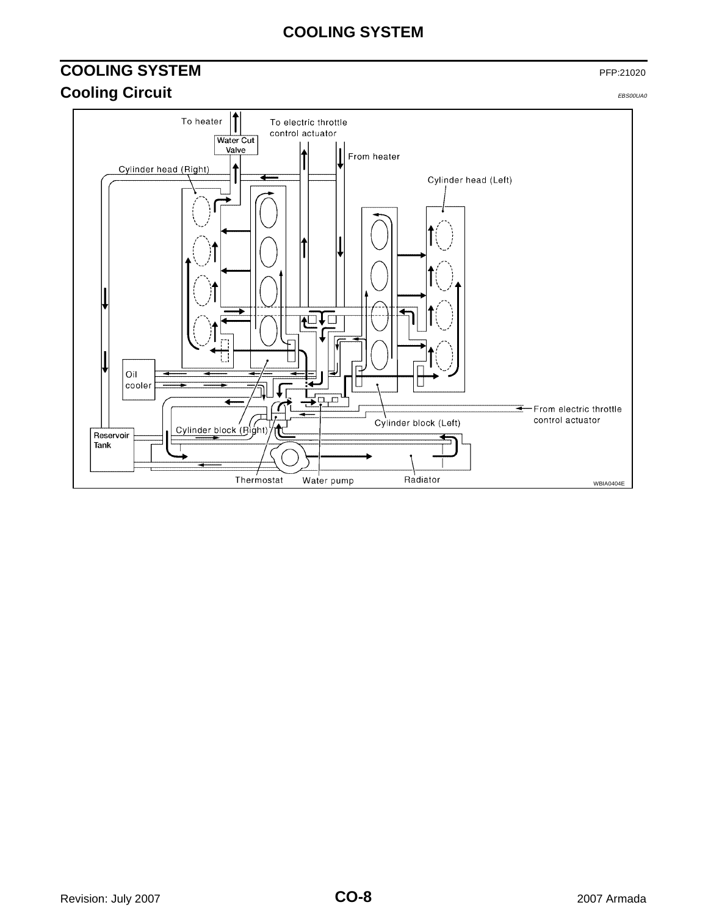## **COOLING SYSTEM**

## <span id="page-7-1"></span><span id="page-7-0"></span>**COOLING SYSTEM** PFP:21020 **Cooling Circuit** EBS00UA0

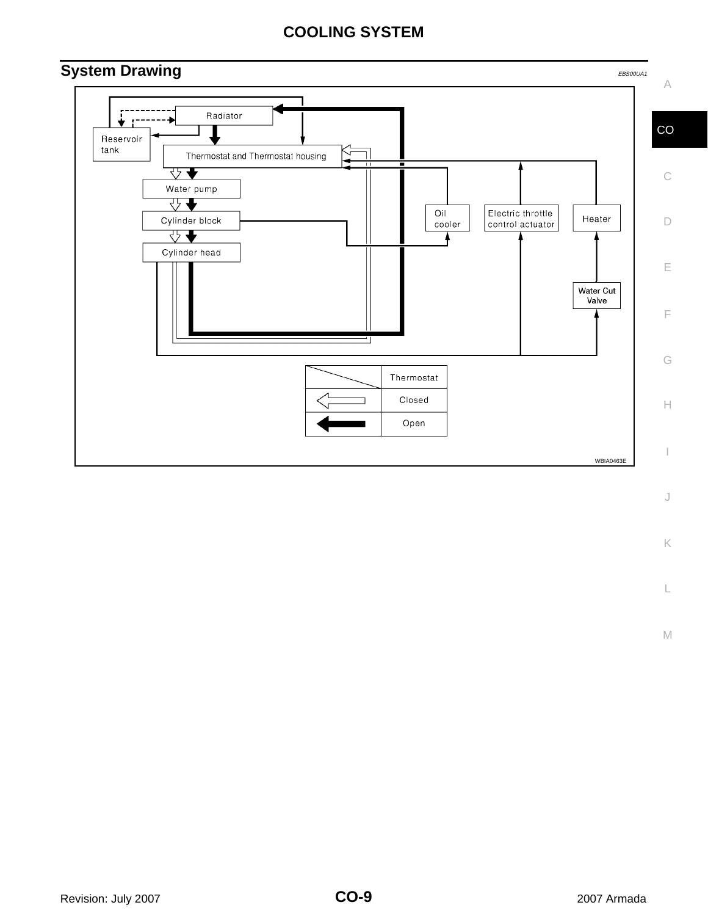## **COOLING SYSTEM**

<span id="page-8-0"></span>

K

L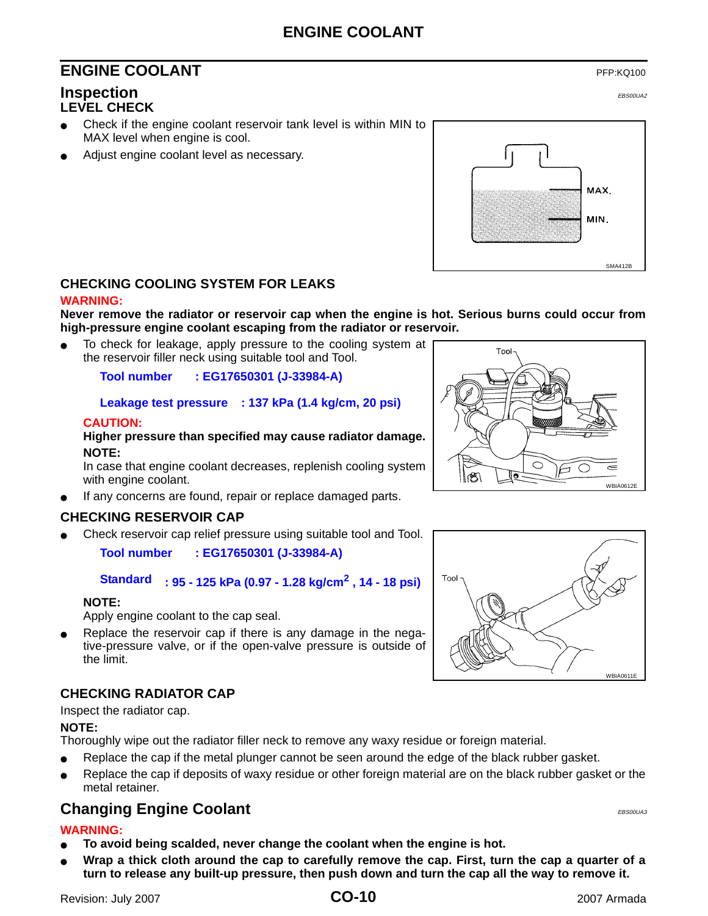## **ENGINE COOLANT**

## <span id="page-9-0"></span>**ENGINE COOLANT** PEPING 200

#### <span id="page-9-2"></span><span id="page-9-1"></span>**Inspection** EBS00UA2 **LEVEL CHECK**

- Check if the engine coolant reservoir tank level is within MIN to MAX level when engine is cool.
- Adjust engine coolant level as necessary.



#### <span id="page-9-3"></span>**CHECKING COOLING SYSTEM FOR LEAKS**

#### **WARNING:**

**Never remove the radiator or reservoir cap when the engine is hot. Serious burns could occur from high-pressure engine coolant escaping from the radiator or reservoir.**

To check for leakage, apply pressure to the cooling system at the reservoir filler neck using suitable tool and Tool.

**Tool number : EG17650301 (J-33984-A)**

#### **Leakage test pressure : 137 kPa (1.4 kg/cm, 20 psi)**

#### **CAUTION:**

**Higher pressure than specified may cause radiator damage. NOTE:**

In case that engine coolant decreases, replenish cooling system with engine coolant.

If any concerns are found, repair or replace damaged parts.

#### <span id="page-9-4"></span>**CHECKING RESERVOIR CAP**

Check reservoir cap relief pressure using suitable tool and Tool.

**Tool number : EG17650301 (J-33984-A)**

**Standard : 95 - 125 kPa (0.97 - 1.28 kg/cm2 , 14 - 18 psi)**

#### **NOTE:**

Apply engine coolant to the cap seal.

Replace the reservoir cap if there is any damage in the negative-pressure valve, or if the open-valve pressure is outside of the limit.

#### <span id="page-9-5"></span>**CHECKING RADIATOR CAP**

Inspect the radiator cap.

#### **NOTE:**

Thoroughly wipe out the radiator filler neck to remove any waxy residue or foreign material.

- Replace the cap if the metal plunger cannot be seen around the edge of the black rubber gasket.
- Replace the cap if deposits of waxy residue or other foreign material are on the black rubber gasket or the metal retainer.

## <span id="page-9-6"></span>**Changing Engine Coolant** Express and EBS00UA3

#### **WARNING:**

- To avoid being scalded, never change the coolant when the engine is hot.
- Wrap a thick cloth around the cap to carefully remove the cap. First, turn the cap a quarter of a **turn to release any built-up pressure, then push down and turn the cap all the way to remove it.**



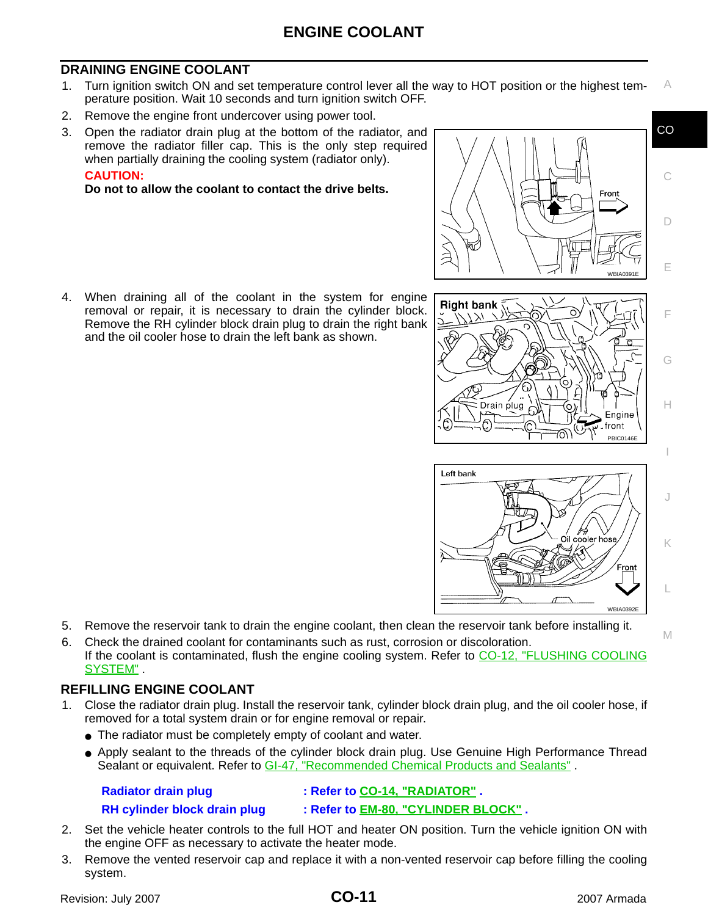### <span id="page-10-0"></span>**DRAINING ENGINE COOLANT**

- A 1. Turn ignition switch ON and set temperature control lever all the way to HOT position or the highest temperature position. Wait 10 seconds and turn ignition switch OFF.
- 2. Remove the engine front undercover using power tool.
- 3. Open the radiator drain plug at the bottom of the radiator, and remove the radiator filler cap. This is the only step required when partially draining the cooling system (radiator only).

#### **CAUTION:**

**Do not to allow the coolant to contact the drive belts.** 

4. When draining all of the coolant in the system for engine removal or repair, it is necessary to drain the cylinder block. Remove the RH cylinder block drain plug to drain the right bank and the oil cooler hose to drain the left bank as shown.



Drain plug

C

CO

D

E

F

G

H

PBIC0146E

Engine . front

Fron

M



70N

- 5. Remove the reservoir tank to drain the engine coolant, then clean the reservoir tank before installing it.
- 6. Check the drained coolant for contaminants such as rust, corrosion or discoloration. If the coolant is contaminated, flush the engine cooling system. Refer to [CO-12, "FLUSHING COOLING](#page-11-0) [SYSTEM"](#page-11-0) .

#### <span id="page-10-1"></span>**REFILLING ENGINE COOLANT**

- 1. Close the radiator drain plug. Install the reservoir tank, cylinder block drain plug, and the oil cooler hose, if removed for a total system drain or for engine removal or repair.
	- The radiator must be completely empty of coolant and water.
	- Apply sealant to the threads of the cylinder block drain plug. Use Genuine High Performance Thread Sealant or equivalent. Refer to GI-47, "Recommended Chemical Products and Sealants".

**Radiator drain plug : Refer to [CO-14, "RADIATOR"](#page-13-0) .**

**RH cylinder block drain plug : Refer to EM-80, "CYLINDER BLOCK" .**

- 2. Set the vehicle heater controls to the full HOT and heater ON position. Turn the vehicle ignition ON with the engine OFF as necessary to activate the heater mode.
- 3. Remove the vented reservoir cap and replace it with a non-vented reservoir cap before filling the cooling system.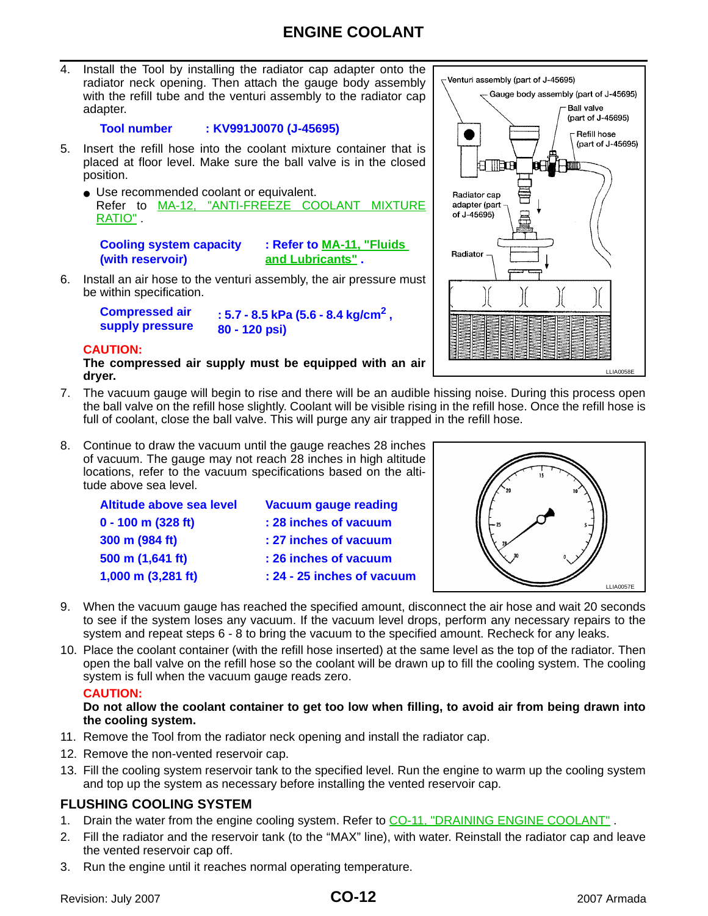4. Install the Tool by installing the radiator cap adapter onto the radiator neck opening. Then attach the gauge body assembly with the refill tube and the venturi assembly to the radiator cap adapter.

#### **Tool number : KV991J0070 (J-45695)**

- 5. Insert the refill hose into the coolant mixture container that is placed at floor level. Make sure the ball valve is in the closed position.
	- Use recommended coolant or equivalent. Refer to MA-12, "ANTI-FREEZE COOLANT MIXTURE RATIO" .

**Cooling system capacity (with reservoir)**

**: Refer to MA-11, "Fluids and Lubricants" .**

6. Install an air hose to the venturi assembly, the air pressure must be within specification.

**Compressed air** 

**supply pressure : 5.7 - 8.5 kPa (5.6 - 8.4 kg/cm2 , 80 - 120 psi)**

#### **CAUTION:**

**The compressed air supply must be equipped with an air dryer.**

- 7. The vacuum gauge will begin to rise and there will be an audible hissing noise. During this process open the ball valve on the refill hose slightly. Coolant will be visible rising in the refill hose. Once the refill hose is full of coolant, close the ball valve. This will purge any air trapped in the refill hose.
- 8. Continue to draw the vacuum until the gauge reaches 28 inches of vacuum. The gauge may not reach 28 inches in high altitude locations, refer to the vacuum specifications based on the altitude above sea level.

| Altitude above sea level | <b>Vacuum gauge reading</b> |
|--------------------------|-----------------------------|
| $0 - 100$ m (328 ft)     | : 28 inches of vacuum       |
| 300 m (984 ft)           | : 27 inches of vacuum       |
| 500 m (1,641 ft)         | : 26 inches of vacuum       |
| $1,000$ m $(3,281$ ft)   | : 24 - 25 inches of vacuum  |
|                          |                             |



- 9. When the vacuum gauge has reached the specified amount, disconnect the air hose and wait 20 seconds to see if the system loses any vacuum. If the vacuum level drops, perform any necessary repairs to the system and repeat steps 6 - 8 to bring the vacuum to the specified amount. Recheck for any leaks.
- 10. Place the coolant container (with the refill hose inserted) at the same level as the top of the radiator. Then open the ball valve on the refill hose so the coolant will be drawn up to fill the cooling system. The cooling system is full when the vacuum gauge reads zero.

#### **CAUTION:**

#### **Do not allow the coolant container to get too low when filling, to avoid air from being drawn into the cooling system.**

- 11. Remove the Tool from the radiator neck opening and install the radiator cap.
- 12. Remove the non-vented reservoir cap.
- 13. Fill the cooling system reservoir tank to the specified level. Run the engine to warm up the cooling system and top up the system as necessary before installing the vented reservoir cap.

#### <span id="page-11-0"></span>**FLUSHING COOLING SYSTEM**

- 1. Drain the water from the engine cooling system. Refer to CO-11, "DRAINING ENGINE COOLANT".
- 2. Fill the radiator and the reservoir tank (to the "MAX" line), with water. Reinstall the radiator cap and leave the vented reservoir cap off.
- 3. Run the engine until it reaches normal operating temperature.

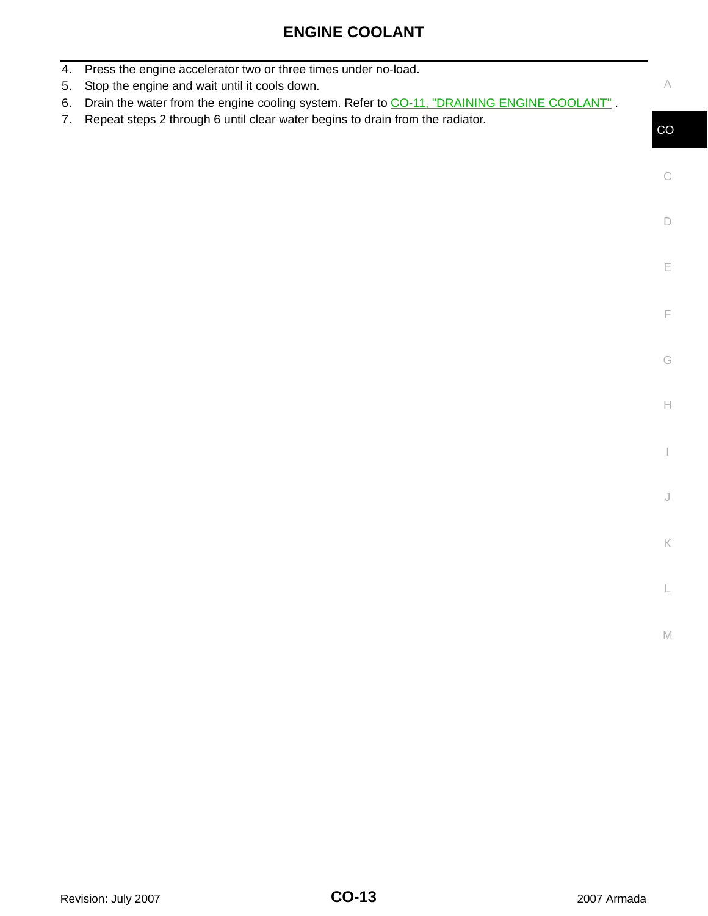|--|

| 4.<br>5. | Press the engine accelerator two or three times under no-load.<br>Stop the engine and wait until it cools down. | A           |
|----------|-----------------------------------------------------------------------------------------------------------------|-------------|
| 6.       | Drain the water from the engine cooling system. Refer to CO-11, "DRAINING ENGINE COOLANT".                      |             |
| 7.       | Repeat steps 2 through 6 until clear water begins to drain from the radiator.                                   | CO          |
|          |                                                                                                                 |             |
|          |                                                                                                                 | $\mathbb C$ |
|          |                                                                                                                 |             |
|          |                                                                                                                 | $\Box$      |
|          |                                                                                                                 |             |
|          |                                                                                                                 | E           |
|          |                                                                                                                 |             |
|          |                                                                                                                 |             |
|          |                                                                                                                 | F           |
|          |                                                                                                                 |             |
|          |                                                                                                                 | G           |
|          |                                                                                                                 |             |
|          |                                                                                                                 | $\mathbb H$ |
|          |                                                                                                                 |             |
|          |                                                                                                                 |             |
|          |                                                                                                                 |             |
|          |                                                                                                                 | $\bigcup$   |
|          |                                                                                                                 |             |
|          |                                                                                                                 | K           |
|          |                                                                                                                 |             |
|          |                                                                                                                 |             |
|          |                                                                                                                 |             |
|          |                                                                                                                 | $\mathbb M$ |
|          |                                                                                                                 |             |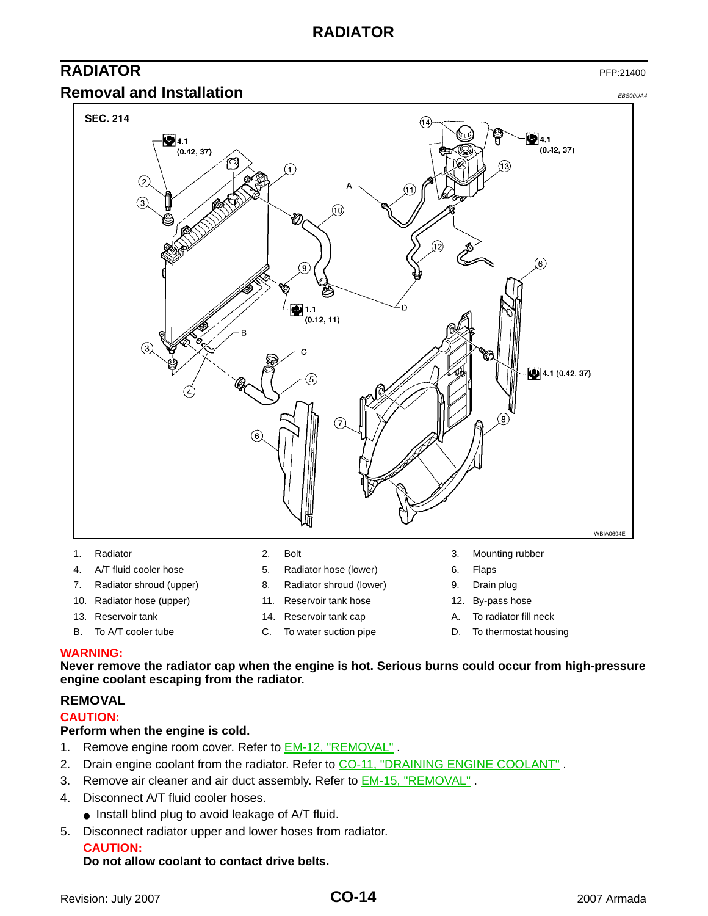## **RADIATOR**

## <span id="page-13-0"></span>**RADIATOR** PFP:21400

#### <span id="page-13-1"></span>**Removal and Installation** EBS00UA4





- 
- 4. A/T fluid cooler hose **5.** Radiator hose (lower) 6. Flaps
- 7. Radiator shroud (upper) 8. Radiator shroud (lower) 9. Drain plug
- 10. Radiator hose (upper) 11. Reservoir tank hose 12. By-pass hose
- 
- 
- 
- 
- 
- 
- 
- 
- 
- 
- 
- 
- 13. Reservoir tank 14. Reservoir tank cap A. To radiator fill neck
- B. To A/T cooler tube C. To water suction pipe D. To thermostat housing

#### **WARNING:**

**Never remove the radiator cap when the engine is hot. Serious burns could occur from high-pressure engine coolant escaping from the radiator.** 

#### <span id="page-13-2"></span>**REMOVAL**

#### **CAUTION:**

#### **Perform when the engine is cold.**

- 1. Remove engine room cover. Refer to **EM-12, "REMOVAL"**.
- 2. Drain engine coolant from the radiator. Refer to [CO-11, "DRAINING ENGINE COOLANT"](#page-10-0).
- 3. Remove air cleaner and air duct assembly. Refer to **EM-15, "REMOVAL"**.
- 4. Disconnect A/T fluid cooler hoses.
	- Install blind plug to avoid leakage of A/T fluid.
- 5. Disconnect radiator upper and lower hoses from radiator.

#### **CAUTION:**

#### **Do not allow coolant to contact drive belts.**

- 
- -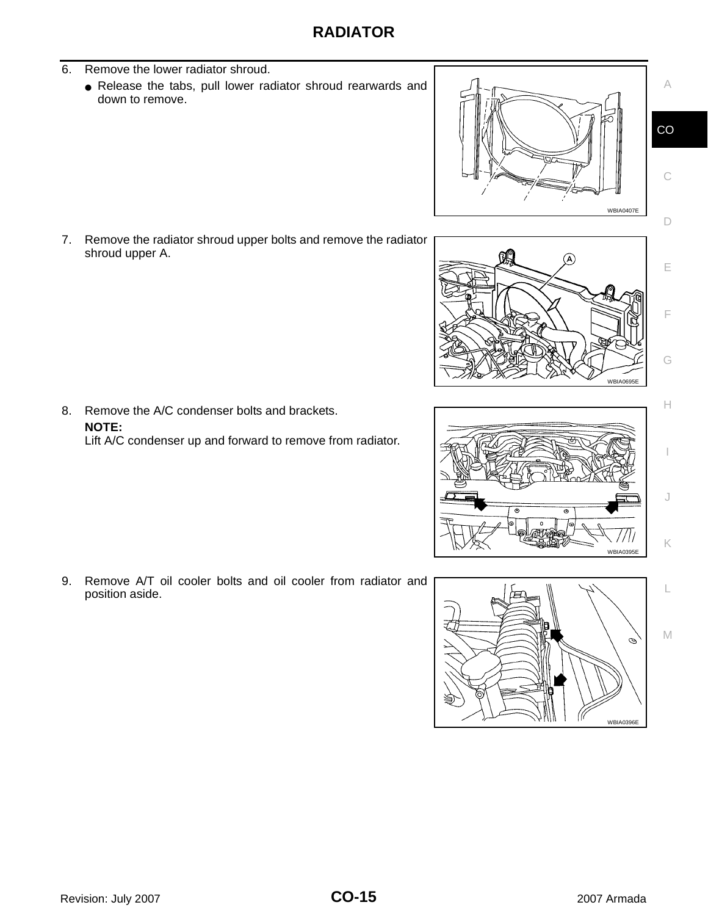- 6. Remove the lower radiator shroud.
	- Release the tabs, pull lower radiator shroud rearwards and down to remove.

7. Remove the radiator shroud upper bolts and remove the radiator shroud upper A.

8. Remove the A/C condenser bolts and brackets. **NOTE:** Lift A/C condenser up and forward to remove from radiator.

9. Remove A/T oil cooler bolts and oil cooler from radiator and position aside.









A

CO

C

D

E

F

G

H

I

J

K

L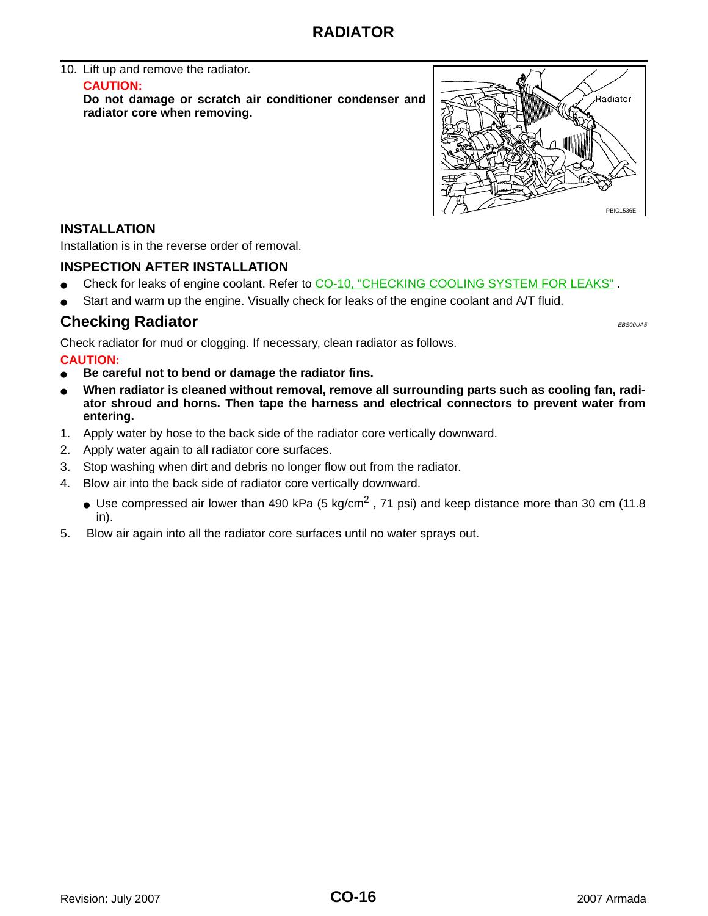#### 10. Lift up and remove the radiator. **CAUTION:**

**Do not damage or scratch air conditioner condenser and radiator core when removing.**



#### <span id="page-15-0"></span>**INSTALLATION**

Installation is in the reverse order of removal.

#### <span id="page-15-1"></span>**INSPECTION AFTER INSTALLATION**

- Check for leaks of engine coolant. Refer to CO-10, "CHECKING COOLING SYSTEM FOR LEAKS".
- Start and warm up the engine. Visually check for leaks of the engine coolant and A/T fluid.

### <span id="page-15-2"></span>**Checking Radiator** EBS00UA5

Check radiator for mud or clogging. If necessary, clean radiator as follows.

#### **CAUTION:**

- Be careful not to bend or damage the radiator fins.
- When radiator is cleaned without removal, remove all surrounding parts such as cooling fan, radi**ator shroud and horns. Then tape the harness and electrical connectors to prevent water from entering.**
- 1. Apply water by hose to the back side of the radiator core vertically downward.
- 2. Apply water again to all radiator core surfaces.
- 3. Stop washing when dirt and debris no longer flow out from the radiator.
- 4. Blow air into the back side of radiator core vertically downward.
	- Use compressed air lower than 490 kPa (5 kg/cm<sup>2</sup>, 71 psi) and keep distance more than 30 cm (11.8) in).
- 5. Blow air again into all the radiator core surfaces until no water sprays out.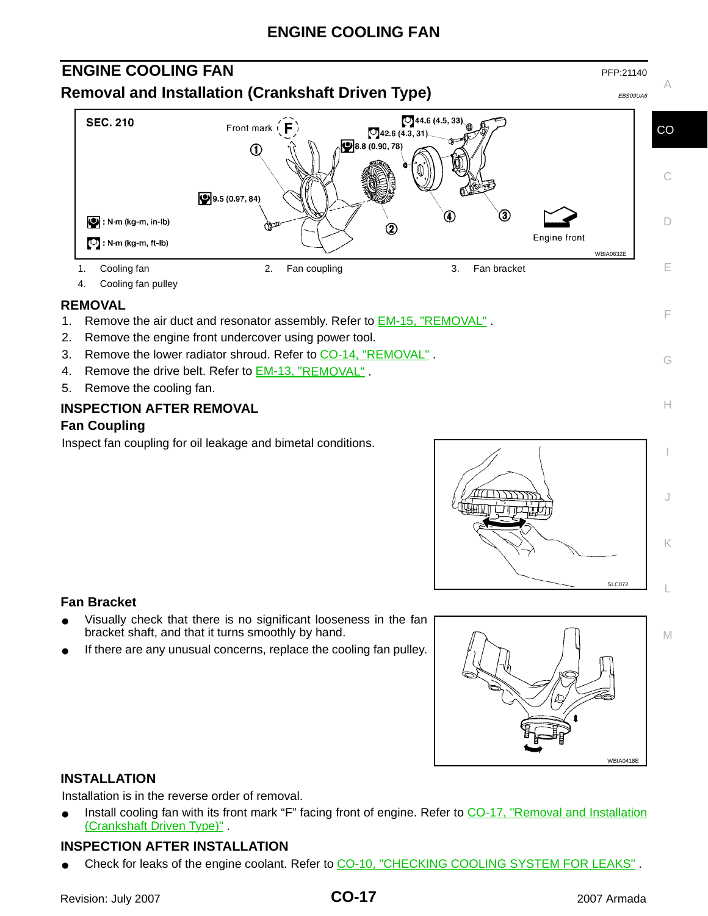## **ENGINE COOLING FAN**

## <span id="page-16-1"></span><span id="page-16-0"></span>**ENGINE COOLING FAN** PFP:21140 **Removal and Installation (Crankshaft Driven Type)** EBS00UA6



4. Cooling fan pulley

#### <span id="page-16-2"></span>**REMOVAL**

- 1. Remove the air duct and resonator assembly. Refer to **EM-15, "REMOVAL"**.
- 2. Remove the engine front undercover using power tool.
- 3. Remove the lower radiator shroud. Refer to [CO-14, "REMOVAL"](#page-13-2).
- 4. Remove the drive belt. Refer to EM-13, "REMOVAL" .
- 5. Remove the cooling fan.

#### <span id="page-16-3"></span>**INSPECTION AFTER REMOVAL**

#### **Fan Coupling**

Inspect fan coupling for oil leakage and bimetal conditions.



C

A

D

E

F

G

H

M

#### **Fan Bracket**

- Visually check that there is no significant looseness in the fan bracket shaft, and that it turns smoothly by hand.
- If there are any unusual concerns, replace the cooling fan pulley.



#### <span id="page-16-4"></span>**INSTALLATION**

Installation is in the reverse order of removal.

Install cooling fan with its front mark "F" facing front of engine. Refer to [CO-17, "Removal and Installation](#page-16-1) [\(Crankshaft Driven Type\)"](#page-16-1) .

#### <span id="page-16-5"></span>**INSPECTION AFTER INSTALLATION**

Check for leaks of the engine coolant. Refer to CO-10, "CHECKING COOLING SYSTEM FOR LEAKS".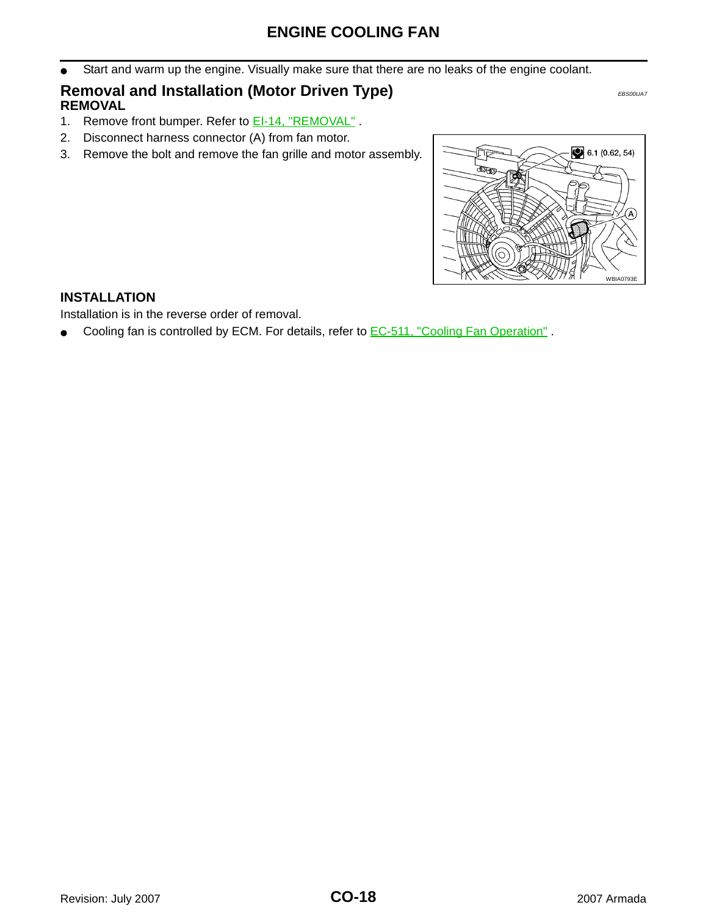Start and warm up the engine. Visually make sure that there are no leaks of the engine coolant.

## <span id="page-17-1"></span><span id="page-17-0"></span>**Removal and Installation (Motor Driven Type)** EBS00UA7 **REMOVAL**

- 1. Remove front bumper. Refer to **EI-14, "REMOVAL"**.
- 2. Disconnect harness connector (A) from fan motor.
- 3. Remove the bolt and remove the fan grille and motor assembly.



#### <span id="page-17-2"></span>**INSTALLATION**

Installation is in the reverse order of removal.

● Cooling fan is controlled by ECM. For details, refer to **EC-511**, "Cooling Fan Operation".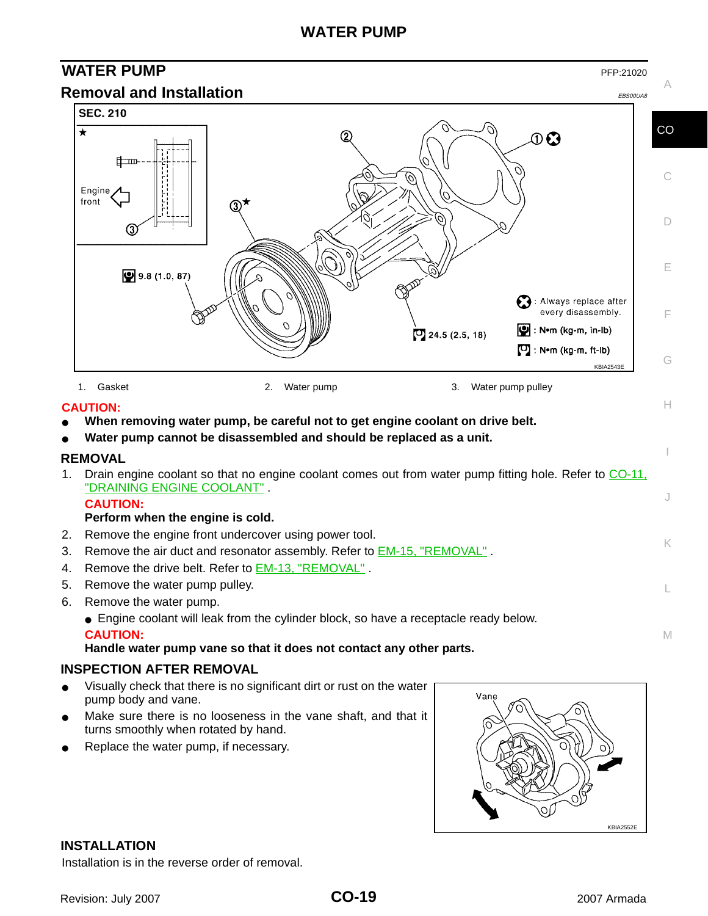## **WATER PUMP**

<span id="page-18-1"></span><span id="page-18-0"></span>

- <span id="page-18-3"></span><span id="page-18-2"></span>Visually check that there is no significant dirt or rust on the water pump body and vane.
- Make sure there is no looseness in the vane shaft, and that it turns smoothly when rotated by hand.
- Replace the water pump, if necessary.



#### <span id="page-18-4"></span>**INSTALLATION**

Installation is in the reverse order of removal.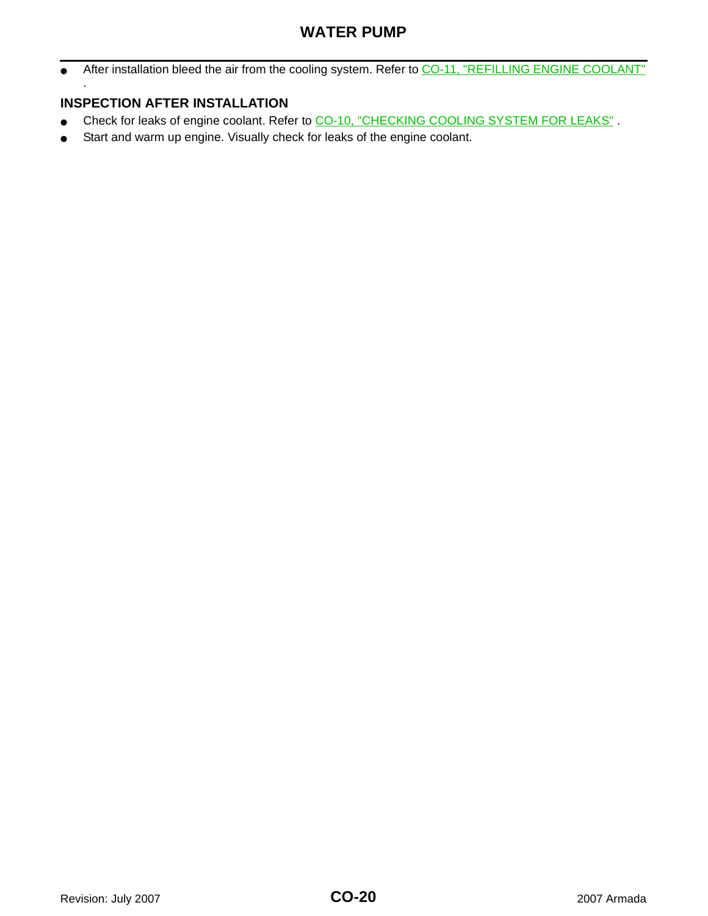## **WATER PUMP**

• After installation bleed the air from the cooling system. Refer to [CO-11, "REFILLING ENGINE COOLANT"](#page-10-1) .

### <span id="page-19-0"></span>**INSPECTION AFTER INSTALLATION**

- Check for leaks of engine coolant. Refer to CO-10, "CHECKING COOLING SYSTEM FOR LEAKS".
- Start and warm up engine. Visually check for leaks of the engine coolant.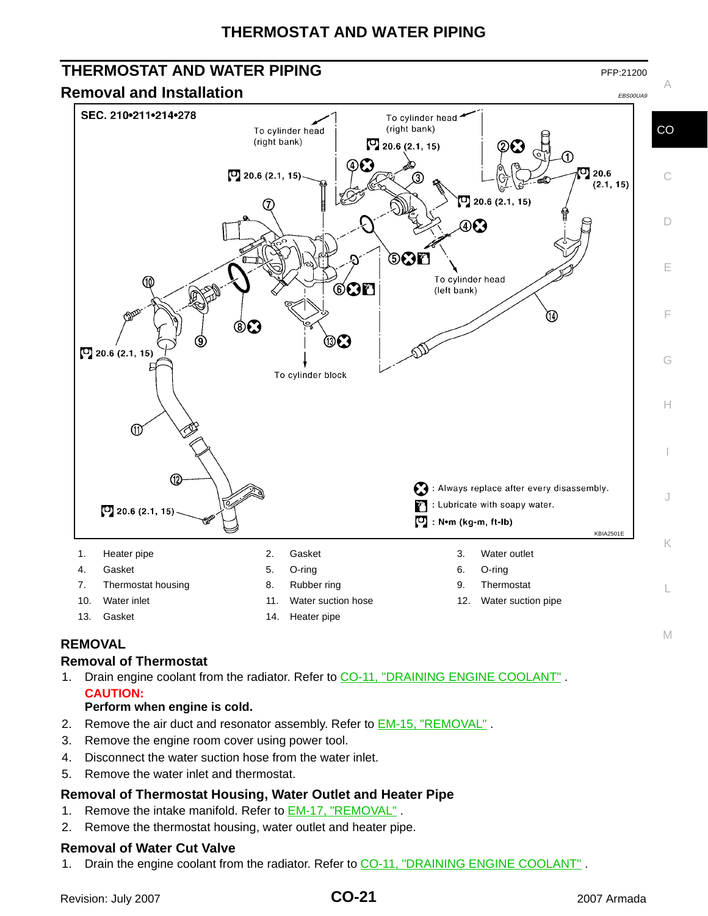## **THERMOSTAT AND WATER PIPING**

#### <span id="page-20-1"></span><span id="page-20-0"></span>**THERMOSTAT AND WATER PIPING PEP:21200** PFP:21200 A **Removal and Installation** Experimental Experimental EBS00UA9 SEC. 210-211-214-278 To cylinder head (right bank) **CO** To cylinder head (right bank)  $\Box$  20.6 (2.1, 15) ⊕Ω  $D$  20.6 (2.1, 15)  $\sigma$  20.6 C  $(2.1, 15)$  $\Box$  20.6 (2.1, 15) 7 D DØ 6CD E To cylinder head Aõ  $\circledcirc$ n (left bank) ጤ F  $\circ$ ை  $[0]$  20.6 (2.1, 15) G To cylinder block H  $<sup>①</sup>$ </sup> 3 : Always replace after every disassembly. J : Lubricate with soapy water.  $[0]$  20.6 (2.1, 15)  $\Box$ : N•m (kg-m, ft-lb) KBIA2501E K 1. Heater pipe **2.** Gasket 3. Water outlet 4. Gasket 5. O-ring 6. O-ring 7. Thermostat housing 8. Rubber ring 1997 1998. Thermostat L 10. Water inlet 11. Water suction hose 12. Water suction pipe 13. Gasket 14. Heater pipe

### <span id="page-20-2"></span>**REMOVAL**

#### **Removal of Thermostat**

1. Drain engine coolant from the radiator. Refer to [CO-11, "DRAINING ENGINE COOLANT"](#page-10-0) . **CAUTION:**

#### **Perform when engine is cold.**

- 2. Remove the air duct and resonator assembly. Refer to **EM-15, "REMOVAL"**.
- 3. Remove the engine room cover using power tool.
- 4. Disconnect the water suction hose from the water inlet.
- 5. Remove the water inlet and thermostat.

#### **Removal of Thermostat Housing, Water Outlet and Heater Pipe**

- 1. Remove the intake manifold. Refer to **EM-17, "REMOVAL"**.
- 2. Remove the thermostat housing, water outlet and heater pipe.

#### **Removal of Water Cut Valve**

1. Drain the engine coolant from the radiator. Refer to CO-11, "DRAINING ENGINE COOLANT".

I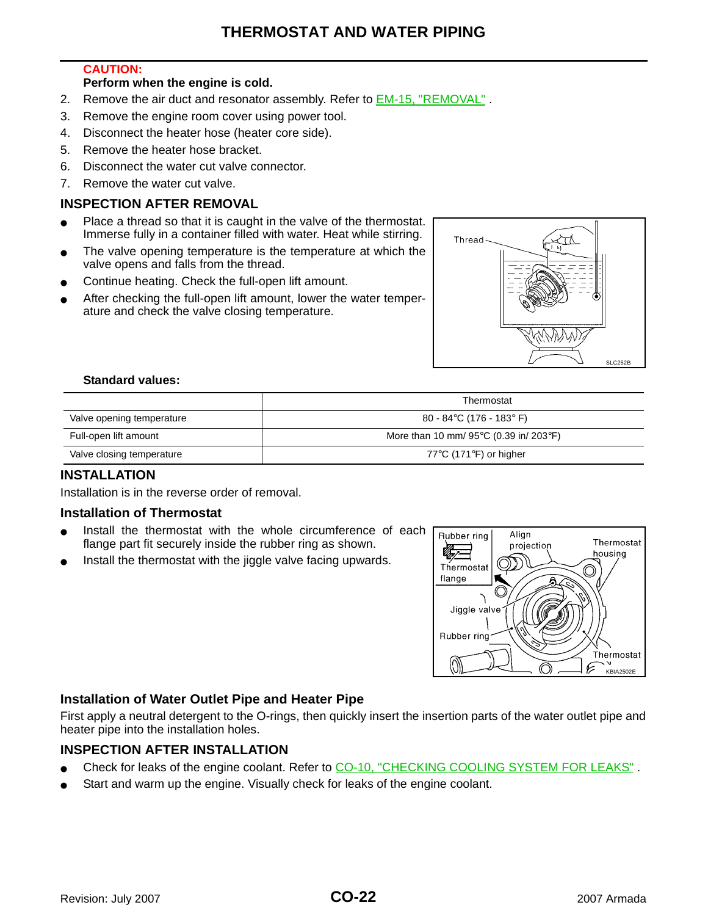## **THERMOSTAT AND WATER PIPING**

#### **CAUTION:**

#### **Perform when the engine is cold.**

- 2. Remove the air duct and resonator assembly. Refer to **EM-15, "REMOVAL"**.
- 3. Remove the engine room cover using power tool.
- 4. Disconnect the heater hose (heater core side).
- 5. Remove the heater hose bracket.
- 6. Disconnect the water cut valve connector.
- 7. Remove the water cut valve.

#### <span id="page-21-0"></span>**INSPECTION AFTER REMOVAL**

- Place a thread so that it is caught in the valve of the thermostat. Immerse fully in a container filled with water. Heat while stirring.
- The valve opening temperature is the temperature at which the valve opens and falls from the thread.
- Continue heating. Check the full-open lift amount.
- After checking the full-open lift amount, lower the water temperature and check the valve closing temperature.



#### **Standard values:**

|                           | Thermostat                                                    |
|---------------------------|---------------------------------------------------------------|
| Valve opening temperature | 80 - 84°C (176 - 183° F)                                      |
| Full-open lift amount     | More than 10 mm/ $95^{\circ}$ C (0.39 in/ 203 $^{\circ}$ F)   |
| Valve closing temperature | 77 $\mathrm{^{\circ}C}$ (171 $\mathrm{^{\circ}F}$ ) or higher |

#### <span id="page-21-1"></span>**INSTALLATION**

Installation is in the reverse order of removal.

#### **Installation of Thermostat**

- Install the thermostat with the whole circumference of each flange part fit securely inside the rubber ring as shown.
- Install the thermostat with the jiggle valve facing upwards.



#### **Installation of Water Outlet Pipe and Heater Pipe**

First apply a neutral detergent to the O-rings, then quickly insert the insertion parts of the water outlet pipe and heater pipe into the installation holes.

#### <span id="page-21-2"></span>**INSPECTION AFTER INSTALLATION**

- Check for leaks of the engine coolant. Refer to [CO-10, "CHECKING COOLING SYSTEM FOR LEAKS"](#page-9-3).
- Start and warm up the engine. Visually check for leaks of the engine coolant.